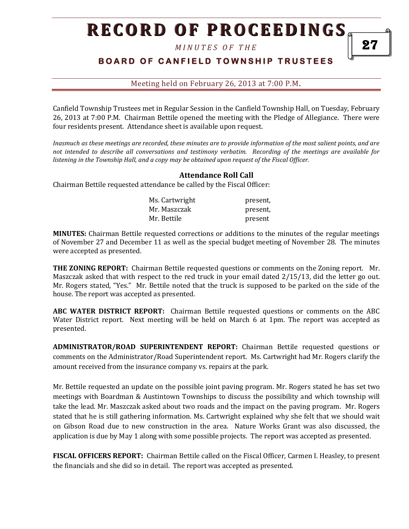# **RECORD OF PROCEEDINGS**

*M I N U T E S O F T H E* 

## **BOARD OF CANFIELD TOWNSHIP TRUSTEES**

Meeting held on February 26, 2013 at 7:00 P.M**.**

Canfield Township Trustees met in Regular Session in the Canfield Township Hall, on Tuesday, February 26, 2013 at 7:00 P.M. Chairman Bettile opened the meeting with the Pledge of Allegiance. There were four residents present. Attendance sheet is available upon request.

*Inasmuch as these meetings are recorded, these minutes are to provide information of the most salient points, and are not intended to describe all conversations and testimony verbatim. Recording of the meetings are available for listening in the Township Hall, and a copy may be obtained upon request of the Fiscal Officer.* 

#### **Attendance Roll Call**

Chairman Bettile requested attendance be called by the Fiscal Officer:

| Ms. Cartwright | present, |
|----------------|----------|
| Mr. Maszczak   | present, |
| Mr. Bettile    | present  |

**MINUTES:** Chairman Bettile requested corrections or additions to the minutes of the regular meetings of November 27 and December 11 as well as the special budget meeting of November 28. The minutes were accepted as presented.

**THE ZONING REPORT:** Chairman Bettile requested questions or comments on the Zoning report. Mr. Maszczak asked that with respect to the red truck in your email dated 2/15/13, did the letter go out. Mr. Rogers stated, "Yes." Mr. Bettile noted that the truck is supposed to be parked on the side of the house. The report was accepted as presented.

**ABC WATER DISTRICT REPORT:** Chairman Bettile requested questions or comments on the ABC Water District report. Next meeting will be held on March 6 at 1pm. The report was accepted as presented.

**ADMINISTRATOR/ROAD SUPERINTENDENT REPORT:** Chairman Bettile requested questions or comments on the Administrator/Road Superintendent report. Ms. Cartwright had Mr. Rogers clarify the amount received from the insurance company vs. repairs at the park.

Mr. Bettile requested an update on the possible joint paving program. Mr. Rogers stated he has set two meetings with Boardman & Austintown Townships to discuss the possibility and which township will take the lead. Mr. Maszczak asked about two roads and the impact on the paving program. Mr. Rogers stated that he is still gathering information. Ms. Cartwright explained why she felt that we should wait on Gibson Road due to new construction in the area. Nature Works Grant was also discussed, the application is due by May 1 along with some possible projects. The report was accepted as presented.

**FISCAL OFFICERS REPORT:** Chairman Bettile called on the Fiscal Officer, Carmen I. Heasley, to present the financials and she did so in detail. The report was accepted as presented.

27